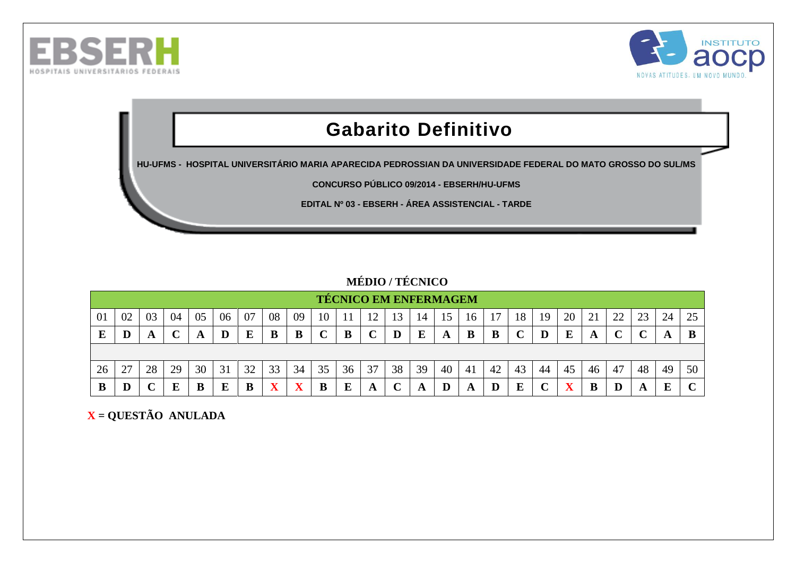



# **Gabarito Definitivo**

**HU-UFMS - HOSPITAL UNIVERSITÁRIO MARIA APARECIDA PEDROSSIAN DA UNIVERSIDADE FEDERAL DO MATO GROSSO DO SUL/MS**

**CONCURSO PÚBLICO 09/2014 - EBSERH/HU-UFMS**

**EDITAL Nº 03 - EBSERH - ÁREA ASSISTENCIAL - TARDE**

#### **MÉDIO / TÉCNICO**

|    |    |     |    |    |           |    |                         |    |             |    | <b>TÉCNICO EM ENFERMAGEM</b> |    |    |    |    |    |    |    |    |          |    |    |     |    |
|----|----|-----|----|----|-----------|----|-------------------------|----|-------------|----|------------------------------|----|----|----|----|----|----|----|----|----------|----|----|-----|----|
| 01 | 02 | 03  | 04 | 05 | 06        | 07 | 08                      | 09 | 10          |    |                              |    | 14 |    | 16 |    | 18 | 19 | 20 | $\angle$ | 22 | 23 | 24  | 25 |
| Е  | D  | £Э. | ັ  |    | D         |    | B                       |    | $\mathbf C$ |    |                              |    | E  | A  | B  | B  |    | D  | E  |          |    |    | ГX. | B  |
|    |    |     |    |    |           |    |                         |    |             |    |                              |    |    |    |    |    |    |    |    |          |    |    |     |    |
| 26 | 27 | 28  | 29 | 30 | 31        | 32 | 33                      | 34 | 35          | 36 | 37                           | 38 | 39 | 40 | 41 | 42 | 43 | 44 | 45 | 46       | 47 | 48 | 49  | 50 |
| В  | D  |     | Ε  |    | Б<br>دلله |    | $\overline{\mathbf{x}}$ |    | B           |    |                              |    |    |    | A  |    | E  |    | x. |          | D  |    | E   |    |

 **X = QUESTÃO ANULADA**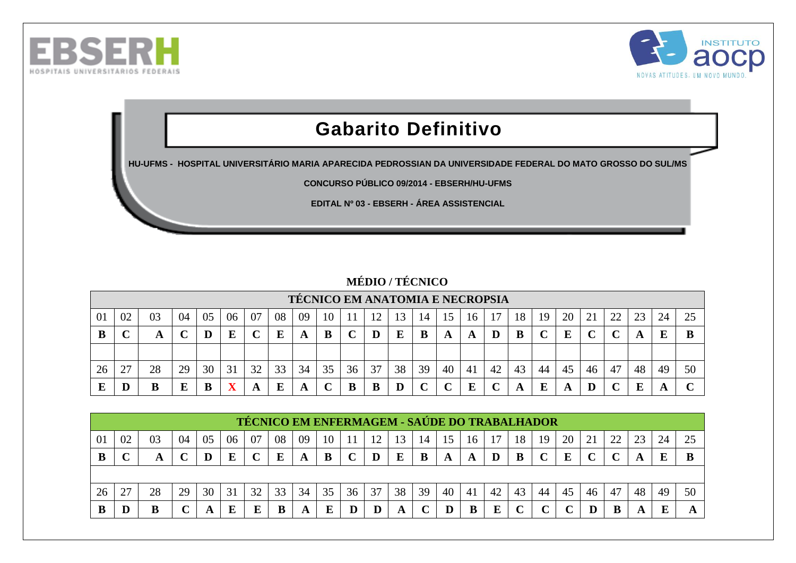



# **Gabarito Definitivo**

**HU-UFMS - HOSPITAL UNIVERSITÁRIO MARIA APARECIDA PEDROSSIAN DA UNIVERSIDADE FEDERAL DO MATO GROSSO DO SUL/MS**

**CONCURSO PÚBLICO 09/2014 - EBSERH/HU-UFMS**

**EDITAL Nº 03 - EBSERH - ÁREA ASSISTENCIAL** 

### **MÉDIO / TÉCNICO**

|     |        |    |    |    |    |    |    |    |    |    | <b>TECNICO EM ANATOMIA E NECROPSIA</b> |    |    |    |    |    |    |    |    |    |    |    |    |    |
|-----|--------|----|----|----|----|----|----|----|----|----|----------------------------------------|----|----|----|----|----|----|----|----|----|----|----|----|----|
| -01 | 02     | 03 | 04 | 05 | 06 | 07 | 08 | 09 | 10 |    |                                        |    | 14 | 15 | 16 |    | 18 | 19 | 20 | 21 | າາ | 23 | 24 |    |
| B   | $\sim$ | A  |    |    |    |    | E  | A  |    |    | D                                      | E  | B  | A  | A  |    | В  |    | E  |    |    | A  |    |    |
|     |        |    |    |    |    |    |    |    |    |    |                                        |    |    |    |    |    |    |    |    |    |    |    |    |    |
| 26  | 27     | 28 | 29 | 30 | 31 | 32 | 33 | 34 | 35 | 36 | 37                                     | 38 | 39 | 40 | 41 | 42 | 43 | 44 | 45 | 46 | 47 | 48 | 49 | 50 |
|     | D      |    |    |    |    | A  | E  |    |    |    | B                                      |    |    |    | E  |    | A  | E  |    |    |    | E  |    |    |

|    |              |    |    |    |    |    | TÉCNICO EM ENFERMAGEM - SAÚDE DO TRABALHADOR |    |    |              |    |    |    |    |    |    |                   |    |    |    |    |    |    |    |
|----|--------------|----|----|----|----|----|----------------------------------------------|----|----|--------------|----|----|----|----|----|----|-------------------|----|----|----|----|----|----|----|
| 01 | 02           | 03 | 04 | 05 | 06 | 07 | 08                                           | 09 | 10 |              |    |    | 14 | 15 | 16 |    | 18                | 19 | 20 |    | 22 | 23 | 24 | 25 |
| B  | $\mathbf{r}$ | A  |    |    |    |    | E                                            |    | B  | $\mathbf{C}$ | D  | E  | B  | A  | A  | D  | B                 |    | Е  |    |    |    |    | B  |
|    |              |    |    |    |    |    |                                              |    |    |              |    |    |    |    |    |    |                   |    |    |    |    |    |    |    |
| 26 | 27           | 28 | 29 | 30 | 31 | 32 | 33                                           | 34 | 35 | 36           | 37 | 38 | 39 | 40 | 41 | 42 | 43                | 44 | 45 | 46 | 47 | 48 | 49 | 50 |
| В  | D            |    |    |    |    | E  |                                              |    | E  |              |    |    |    |    |    |    | $\mathbf{\Omega}$ |    |    |    |    |    |    |    |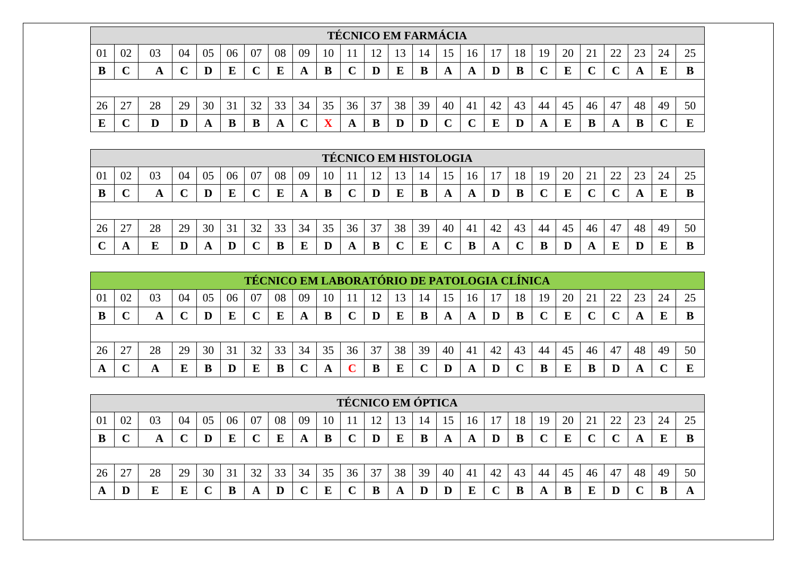|    |              |    |    |    |    |    |    |    |    |    | <b>TÉCNICO EM FARMÁCIA</b> |    |    |    |    |    |    |    |    |    |                     |    |    |    |
|----|--------------|----|----|----|----|----|----|----|----|----|----------------------------|----|----|----|----|----|----|----|----|----|---------------------|----|----|----|
| 01 | 02           | 03 | 04 | 05 | 06 | 07 | 08 | 09 |    |    |                            | 13 | 14 |    | 16 |    | 18 | 19 | 20 | 21 | $\mathcal{D}$<br>∠∠ | 23 | 24 | 25 |
| В  | $\mathbf{r}$ | A  |    | D  | Е  |    | E  | A  | B  |    |                            |    | B  |    | A  |    | B  |    | E  |    |                     | A  | F. |    |
|    |              |    |    |    |    |    |    |    |    |    |                            |    |    |    |    |    |    |    |    |    |                     |    |    |    |
| 26 | 27           | 28 | 29 | 30 | 31 | 32 | 33 | 34 | 35 | 36 | 37                         | 38 | 39 | 40 | 41 | 42 | 43 | 44 | 45 | 46 | 47                  | 48 | 49 | 50 |
| E  | $\sim$       |    |    | A  | B  | D  |    |    |    | A  |                            |    |    |    |    |    |    |    | E  |    | A                   |    |    |    |

|    |          |    |    |    |    |    |    |    |    |    | <b>TÉCNICO EM HISTOLOGIA</b> |    |    |    |    |    |    |    |    |    |    |    |    |    |
|----|----------|----|----|----|----|----|----|----|----|----|------------------------------|----|----|----|----|----|----|----|----|----|----|----|----|----|
| 01 | 02       | 03 | 04 | 05 | 06 | 07 | 08 | 09 | 10 |    | ി                            |    | 14 |    | l6 |    | 18 | 19 | 20 | 21 | 22 | 23 | 24 | 25 |
| B  | ື        |    |    |    | E  |    |    | A  | B  |    |                              | E  | B  | A  | A  |    | B  |    | E  |    |    |    |    |    |
|    |          |    |    |    |    |    |    |    |    |    |                              |    |    |    |    |    |    |    |    |    |    |    |    |    |
| 26 | דר<br>2/ | 28 | 29 | 30 | 31 | 32 | 33 | 34 | 35 | 36 | 37                           | 38 | 39 | 40 | 41 | 42 | 43 | 44 | 45 | 46 | 47 | 48 | 49 | 50 |
|    | A        |    |    |    |    |    |    |    |    |    |                              |    |    |    | B  |    |    |    | D  | A  | E  |    |    |    |

|    |             |    |    |    |    |              |    |    |    |    |    |    | TÉCNICO EM LABORATÓRIO DE PATOLOGIA CLÍNICA |    |    |    |    |    |    |                |    |    |    |    |
|----|-------------|----|----|----|----|--------------|----|----|----|----|----|----|---------------------------------------------|----|----|----|----|----|----|----------------|----|----|----|----|
| 01 | 02          | 03 | 04 | 05 | 06 | 07           | 08 | 09 | 10 |    | 1つ |    |                                             | 15 | 16 |    | 18 | 19 | 20 | $\mathcal{D}1$ | ຳາ | 23 | 24 |    |
|    | $\mathbf C$ |    |    |    | E  | $\mathbf{C}$ | Е  | A  | B  |    |    | E  | B                                           |    | A  |    |    |    | E  |                |    |    |    |    |
|    |             |    |    |    |    |              |    |    |    |    |    |    |                                             |    |    |    |    |    |    |                |    |    |    |    |
| 26 | າາ          | 28 | 29 | 30 | 31 | 32           | 33 | 34 | 35 | 36 | 37 | 38 | 39                                          | 40 | 41 | 42 | 43 | 44 | 45 | 46             | 47 | 48 | 49 | 50 |
|    |             |    |    |    |    |              |    |    |    |    |    |    |                                             |    |    |    |    |    | E  |                |    |    |    |    |

|    |                   |    |    |    |    |             |    |    |    | <b>TÉCNICO EM ÓPTICA</b> |    |    |    |            |    |    |    |    |    |    |    |    |    |    |
|----|-------------------|----|----|----|----|-------------|----|----|----|--------------------------|----|----|----|------------|----|----|----|----|----|----|----|----|----|----|
| 01 | 02                | 03 | 04 | 05 | 06 | 07          | 08 | 09 | 10 |                          | റ  | 13 | 14 | $\sqrt{5}$ | 16 |    | 18 | 19 | 20 |    | 22 | 23 | 24 | 25 |
| В  | $\mathbf{C}$<br>ັ | A  |    | D  | E  | $\mathbf C$ | E  | A  | В  |                          | D  |    | B  | A          | A  | D  | B  |    | E  |    |    |    |    |    |
|    |                   |    |    |    |    |             |    |    |    |                          |    |    |    |            |    |    |    |    |    |    |    |    |    |    |
| 26 | 27                | 28 | 29 | 30 | 31 | 32          | 33 | 34 | 35 | 36                       | 37 | 38 | 39 | 40         | 41 | 42 | 43 | 44 | 45 | 46 | 47 | 48 | 49 | 50 |
|    | D                 |    |    |    |    | A           | D  |    | ы  |                          |    | A  | D  |            | E  |    |    | A  | B  |    |    |    |    |    |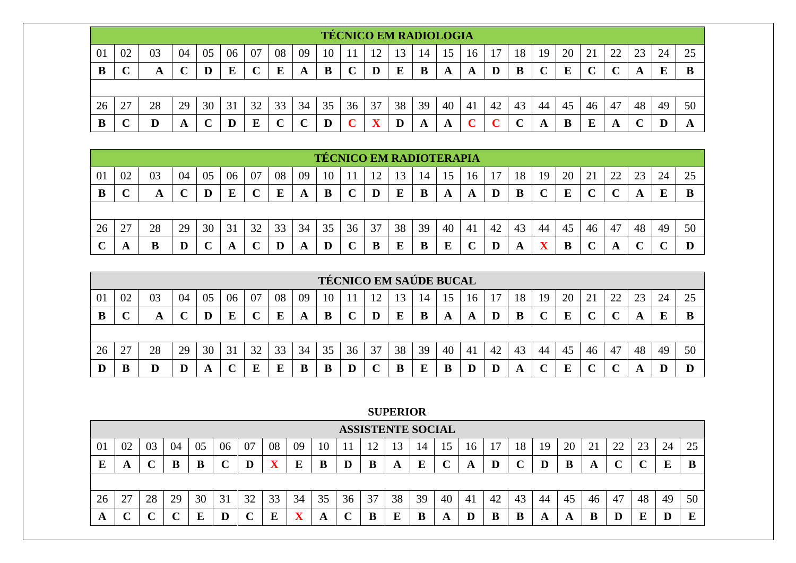|    |        |    |    |    |    |    |    |    |    |    | <b>TÉCNICO EM RADIOLOGIA</b> |    |    |    |    |    |    |    |    |                          |                          |    |    |    |
|----|--------|----|----|----|----|----|----|----|----|----|------------------------------|----|----|----|----|----|----|----|----|--------------------------|--------------------------|----|----|----|
| 01 | 02     | 03 | 04 | 05 | 06 | 07 | 08 | 09 | 10 |    | ി                            | 3  |    |    | 16 |    | 18 | 19 | 20 | $\overline{\phantom{0}}$ | $\overline{\phantom{a}}$ | 23 | 24 | 25 |
| B  | $\sim$ | A  |    | D  | E  |    | E  | A  | B  | ັ  | D                            | E  | B  |    | A  |    | B  |    | E  |                          |                          | A  | E  |    |
|    |        |    |    |    |    |    |    |    |    |    |                              |    |    |    |    |    |    |    |    |                          |                          |    |    |    |
| 26 | 27     | 28 | 29 | 30 | 31 | 32 | 33 | 34 | 35 | 36 | 37                           | 38 | 39 | 40 | 41 | 42 | 43 | 44 | 45 | 46                       | 47                       | 48 | 49 | 50 |
| B  |        |    | A  | ◥  | D  | E  |    |    |    |    |                              |    | A  | A  |    |    |    | A  | B  |                          | A                        |    |    | A  |

|    |        |    |    |    |    |             |    |    |    | <b>TÉCNICO EM RADIOTERAPIA</b> |    |    |    |    |    |    |    |              |    |    |    |    |    |    |
|----|--------|----|----|----|----|-------------|----|----|----|--------------------------------|----|----|----|----|----|----|----|--------------|----|----|----|----|----|----|
| 01 | 02     | 03 | 04 | 05 | 06 | 07          | 08 | 09 | 10 |                                | റ  | 13 | 14 |    | 16 |    | 18 | 19           | 20 | 21 | າາ | 23 | 24 | 25 |
| В  | ⌒<br>◡ | A  |    |    | E  | $\mathbf C$ | E  | A  | B  | ັ                              |    | E  | B  | A  | A  |    | B  | $\mathbf{r}$ | E  |    |    | A  |    |    |
|    |        |    |    |    |    |             |    |    |    |                                |    |    |    |    |    |    |    |              |    |    |    |    |    |    |
| 26 | 27     | 28 | 29 | 30 | 31 | 32          | 33 | 34 | 35 | 36                             | 37 | 38 | 39 | 40 | 41 | 42 | 43 | 44           | 45 | 46 | 47 | 48 | 49 | 50 |
|    | A      | B  | ш  |    | A  |             | D  | A  |    |                                |    | E  | B  | Ε  |    |    | A  |              | В  |    | A  |    |    |    |

|    |           |    |    |    |    |    |    |    |    | <b>TÉCNICO EM SAÚDE BUCAL</b> |    |    |    |    |    |    |    |    |    |             |    |    |    |    |
|----|-----------|----|----|----|----|----|----|----|----|-------------------------------|----|----|----|----|----|----|----|----|----|-------------|----|----|----|----|
| 01 | 02        | 03 | 04 | 05 | 06 | 07 | 08 | 09 | 10 |                               |    |    | 14 | .5 | 16 |    | 18 | 19 | 20 | $\bigcap$ 1 | າາ |    | 24 |    |
| В  | ັ         | A  |    | D  | E  |    | E  | A  | B  |                               |    |    | B  |    | A  |    | В  |    | E  |             |    | L. |    |    |
|    |           |    |    |    |    |    |    |    |    |                               |    |    |    |    |    |    |    |    |    |             |    |    |    |    |
| 26 | 27<br>، ، | 28 | 29 | 30 | 31 | 32 | 33 | 34 | 35 | 36                            | 37 | 38 | 39 | 40 | 41 | 42 | 43 | 44 | 45 | 46          | 47 | 48 | 49 | 50 |
|    | B         |    |    | A  |    |    | П  | В  | D  |                               |    |    |    |    |    |    | A  |    | г  |             |    |    |    |    |

#### **SUPERIOR**

|    |    |    |        |    |    |    |    |    |    |    | <b>ASSISTENTE SOCIAL</b> |    |    |    |    |    |    |    |     |    |    |    |    |    |
|----|----|----|--------|----|----|----|----|----|----|----|--------------------------|----|----|----|----|----|----|----|-----|----|----|----|----|----|
| 01 | 02 | 03 | 04     | U5 | 06 | 07 | 08 | 09 | 10 |    | ⊥ ∠                      |    | 14 | IJ | 16 |    | 18 | 19 | 20  | ∠⊥ | 22 | 23 | 24 | 25 |
| L  | A  |    | B      | В  |    |    |    | E  | B  |    | B                        | A  | E  |    | A  | D  |    |    | в   | O  |    |    | Е  | B  |
|    |    |    |        |    |    |    |    |    |    |    |                          |    |    |    |    |    |    |    |     |    |    |    |    |    |
| 26 | 27 | 28 | 29     | 30 | 31 | 32 | 33 | 34 | 35 | 36 | 37                       | 38 | 39 | 40 | 41 | 42 | 43 | 44 | -45 | 46 | 47 | 48 | 49 | 50 |
| A  |    |    | $\sim$ | E  |    |    | E  |    | A  |    | B                        |    | B  | A  | D  |    | В  |    | A   |    |    |    |    | E  |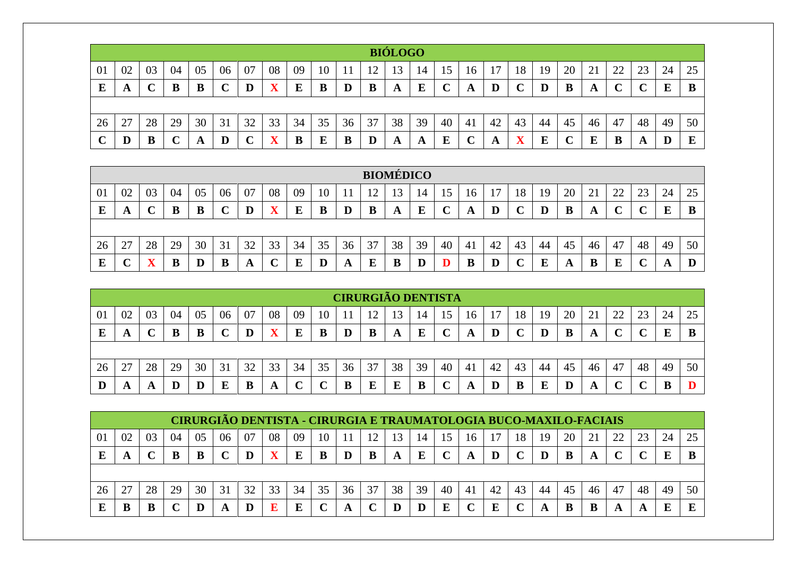|         |    |    |             |    |    |    |                         |    |    |    |    | <b>BIÓLOGO</b> |    |    |    |    |                         |    |              |    |    |    |    |          |
|---------|----|----|-------------|----|----|----|-------------------------|----|----|----|----|----------------|----|----|----|----|-------------------------|----|--------------|----|----|----|----|----------|
| 01      | 02 | 03 | 04          | 05 | 06 | 07 | 08                      | 09 | 10 |    |    |                | 14 |    | 16 |    | 18                      | 19 | 20           | 21 | 22 | 23 | 24 | 25       |
| $\bf E$ | A  |    | B           | B  | ⌒  | D  | $\mathbf X$             | E  | B  | D  | B  | A              | E  |    | A  | D  | $\sim$                  | D  | B            | A  | ⌒  |    | E  | B        |
|         |    |    |             |    |    |    |                         |    |    |    |    |                |    |    |    |    |                         |    |              |    |    |    |    |          |
| 26      | 27 | 28 | 29          | 30 | 31 | 32 | 33                      | 34 | 35 | 36 | 37 | 38             | 39 | 40 | 41 | 42 | 43                      | 44 | 45           | 46 | 47 | 48 | 49 | 50       |
|         | D  |    | $\mathbf C$ | A  |    |    | $\overline{\mathbf{X}}$ | B  | E  | B  | D  | A              | A  | E  |    | A  | $\overline{\mathbf{x}}$ | E  | $\mathbf{C}$ | E  | B  | A  | D  | $\bf{E}$ |

|    |                                                                                                                                 |    |    |    |    |    |    |    |    |    |    | <b>BIOMÉDICO</b> |    |    |    |    |    |    |    |    |    |    |    |    |
|----|---------------------------------------------------------------------------------------------------------------------------------|----|----|----|----|----|----|----|----|----|----|------------------|----|----|----|----|----|----|----|----|----|----|----|----|
| 01 | 08<br>09<br>20<br>つつ<br>24<br>02<br>04<br>06<br>07<br>23<br>03<br>05<br>10<br>18<br>19<br>21<br>13<br>12<br>14<br>L5<br>16<br>∸ |    |    |    |    |    |    |    |    |    |    |                  |    |    |    | 25 |    |    |    |    |    |    |    |    |
| Ε  | A                                                                                                                               |    | B  | B  | ◡  |    | v  |    | B  |    | B  | A                | E  |    | A  |    |    |    | B  |    | ັ  |    |    | B  |
|    |                                                                                                                                 |    |    |    |    |    |    |    |    |    |    |                  |    |    |    |    |    |    |    |    |    |    |    |    |
| 26 | 27                                                                                                                              | 28 | 29 | 30 | 31 | 32 | 33 | 34 | 35 | 36 | 37 | 38               | 39 | 40 | 41 | 42 | 43 | 44 | 45 | 46 | 47 | 48 | 49 | 50 |
| Ε  | ◡                                                                                                                               |    | B  | D  | B  | A  |    | E  |    | A  | E  |                  | ш  |    | B  |    |    | ┳  | A  |    | ш  |    | A  | D  |

|    |                                                                                                                            |    |    |    |                   |    |    |    |    |    | <b>CIRURGIÃO DENTISTA</b> |    |    |    |    |    |    |    |         |    |        |    |    |    |
|----|----------------------------------------------------------------------------------------------------------------------------|----|----|----|-------------------|----|----|----|----|----|---------------------------|----|----|----|----|----|----|----|---------|----|--------|----|----|----|
| 01 | 08<br>02<br>04<br>20<br>22<br>06<br>07<br>09<br>23<br>03<br>05<br>24<br>10<br>13<br>18<br>12<br>19<br>21<br>15<br>14<br>16 |    |    |    |                   |    |    |    |    |    |                           |    |    |    |    | 25 |    |    |         |    |        |    |    |    |
| E  | A                                                                                                                          |    | B  |    | $\mathbf{C}$<br>֊ |    | v  |    | B  | D  | B                         | A  | E  |    | A  |    |    |    | B       | A  | $\sim$ |    | E  | B  |
|    |                                                                                                                            |    |    |    |                   |    |    |    |    |    |                           |    |    |    |    |    |    |    |         |    |        |    |    |    |
| 26 | 27                                                                                                                         | 28 | 29 | 30 | 31                | 32 | 33 | 34 | 35 | 36 | 37                        | 38 | 39 | 40 | 41 | 42 | 43 | 44 | 45      | 46 | 47     | 48 | 49 | 50 |
| D  | A                                                                                                                          |    | D  |    | E                 |    | A  |    |    |    |                           | E  | B  |    | A  |    | B  |    | $\bf D$ |    |        |    |    |    |

|                |    |    |    |    |    |    |    | <b>CIRURGIÃO DENTISTA - CIRURGIA E TRAUMATOLOGIA BUCO-MAXILO-FACIAIS</b> |               |    |    |    |    |    |        |    |        |    |    |    |    |    |    |    |
|----------------|----|----|----|----|----|----|----|--------------------------------------------------------------------------|---------------|----|----|----|----|----|--------|----|--------|----|----|----|----|----|----|----|
| 0 <sup>1</sup> | 02 | 03 | 04 | 05 | 06 | 07 | 08 | 09                                                                       | 10            |    | 12 | 3  | 14 | 15 | 16     |    | 18     | 19 | 20 |    |    | 23 | 24 | 25 |
| E              | A  |    | B  |    |    |    |    |                                                                          | В             |    | B  |    | E  |    | A      | D  |        |    | B  | A  |    |    | E  |    |
|                |    |    |    |    |    |    |    |                                                                          |               |    |    |    |    |    |        |    |        |    |    |    |    |    |    |    |
| 26             |    | 28 | 29 | 30 | 31 | 32 | 33 | 34                                                                       | 35            | 36 | 37 | 38 | 39 | 40 | 41     | 42 | 43     | 44 | 45 | 46 | 47 | 48 | 49 | 50 |
|                |    |    |    |    | A  |    | E  |                                                                          | $\mathcal{C}$ |    |    |    |    | E  | $\sim$ | E  | $\sim$ | A  | B  | в  | A  | A  | E  |    |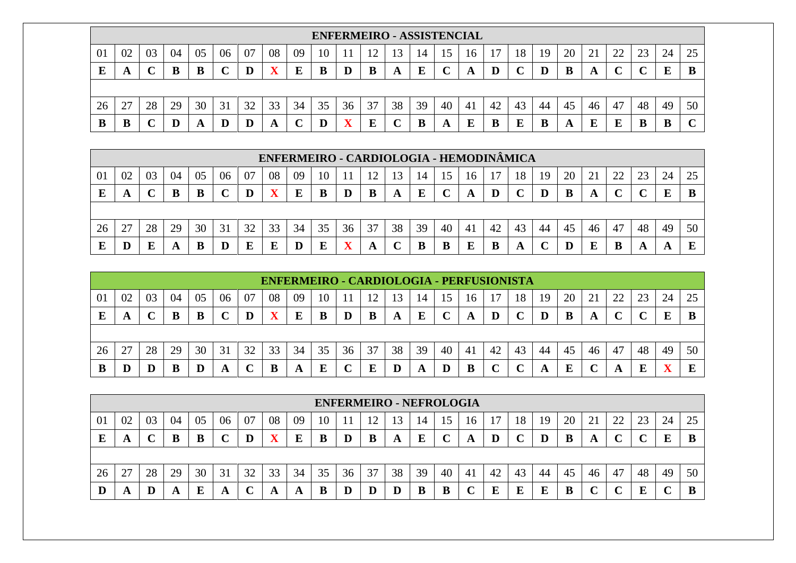|    |                                                                                                                       |    |    |    |    |    |    |    |    |    | <b>ENFERMEIRO - ASSISTENCIAL</b> |    |    |    |    |    |    |    |    |    |    |    |    |    |
|----|-----------------------------------------------------------------------------------------------------------------------|----|----|----|----|----|----|----|----|----|----------------------------------|----|----|----|----|----|----|----|----|----|----|----|----|----|
| 01 | 08<br>20<br>02<br>03<br>05<br>07<br>09<br>18<br>21<br>22<br>23<br>24<br>25<br>10<br>19<br>-04<br>14<br>U6<br>L5<br>16 |    |    |    |    |    |    |    |    |    |                                  |    |    |    |    |    |    |    |    |    |    |    |    |    |
| E  | <b>A A</b>                                                                                                            |    |    | B  |    | D  |    |    |    |    | B                                | A  | E  |    | A  |    |    |    | B  |    |    |    | Ľ  | B  |
|    |                                                                                                                       |    |    |    |    |    |    |    |    |    |                                  |    |    |    |    |    |    |    |    |    |    |    |    |    |
| 26 | $\sim$<br>∠.                                                                                                          | 28 | 29 | 30 | 31 | 32 | 33 | 34 | 35 | 36 | 37                               | 38 | 39 | 40 | 41 | 42 | 43 | 44 | 45 | 46 | 47 | 48 | 49 | 50 |
| В  | B                                                                                                                     |    |    | A  |    |    | A  |    | D  |    | E                                |    | B  |    | ш  | в  | E  |    | A  |    | F. |    | ш  |    |

|    |                                                                                                                      |    |    |    |    |    |             |    |    |    |    |    |    |    |    | ENFERMEIRO - CARDIOLOGIA - HEMODINÂMICA |    |    |    |    |    |    |    |    |
|----|----------------------------------------------------------------------------------------------------------------------|----|----|----|----|----|-------------|----|----|----|----|----|----|----|----|-----------------------------------------|----|----|----|----|----|----|----|----|
| 01 | 02<br>20<br>04<br>06<br>08<br>$\gamma\gamma$<br>24<br>07<br>03<br>09<br>18<br>05<br>10<br>19<br>13<br>14<br>C.<br>16 |    |    |    |    |    |             |    |    |    |    |    |    |    |    |                                         |    |    |    |    |    |    |    |    |
|    | A                                                                                                                    |    | B  | B  |    |    | $\mathbf X$ | E  | B  |    | B  | A  | E  |    | A  | D                                       |    |    | B  |    |    |    | E  |    |
|    |                                                                                                                      |    |    |    |    |    |             |    |    |    |    |    |    |    |    |                                         |    |    |    |    |    |    |    |    |
| 26 | 27                                                                                                                   | 28 | 29 | 30 | 31 | 32 | 33          | 34 | 35 | 36 | 37 | 38 | 39 | 40 | 41 | 42                                      | 43 | 44 | 45 | 46 | 47 | 48 | 49 | 50 |
|    | D                                                                                                                    |    | A  | В  | D  |    | Е           |    | E  |    |    |    |    |    |    |                                         | A  |    |    |    |    | A  | A  |    |

|    |                                                                                                                 |    |    |    |    |    |    |    |    |    | <b>ENFERMEIRO - CARDIOLOGIA - PERFUSIONISTA</b> |    |    |    |    |    |    |    |    |    |    |    |     |    |
|----|-----------------------------------------------------------------------------------------------------------------|----|----|----|----|----|----|----|----|----|-------------------------------------------------|----|----|----|----|----|----|----|----|----|----|----|-----|----|
| 01 | 02<br>08<br>18<br>20<br>04<br>23<br>03<br>05<br>06<br>07<br>09<br>10<br>$\sqrt{2}$<br>19<br>24<br>3<br>16<br>14 |    |    |    |    |    |    |    |    |    |                                                 |    |    |    |    |    |    |    |    |    |    |    |     |    |
|    | A                                                                                                               |    |    |    |    |    |    | E  |    |    | В                                               | A  | E  |    | A  |    |    |    | B  |    |    |    |     |    |
|    |                                                                                                                 |    |    |    |    |    |    |    |    |    |                                                 |    |    |    |    |    |    |    |    |    |    |    |     |    |
| 26 |                                                                                                                 | 28 | 29 | 30 | 31 | 32 | 33 | 34 | 35 | 36 | 37                                              | 38 | 39 | 40 | 41 | 42 | 43 | 44 | 45 | 46 | 47 | 48 | 49  | 50 |
|    |                                                                                                                 |    |    |    | A  |    | B  | A  | E  |    | E                                               |    | A  |    | B  |    |    | A  | E  |    | A  |    | - 7 |    |

|    |                                                                                                                       |    |    |    |    |    |    |    |    |    | <b>ENFERMEIRO - NEFROLOGIA</b> |    |    |    |    |    |    |    |    |    |    |    |    |    |
|----|-----------------------------------------------------------------------------------------------------------------------|----|----|----|----|----|----|----|----|----|--------------------------------|----|----|----|----|----|----|----|----|----|----|----|----|----|
| 01 | 20<br>02<br>04<br>08<br>18<br>22<br>24<br>06<br>10<br>25<br>-07<br>09<br>21<br>03<br>05<br>19<br>- 2<br>3<br>16<br>14 |    |    |    |    |    |    |    |    |    |                                |    |    |    |    |    |    |    |    |    |    |    |    |    |
|    | A                                                                                                                     |    | B  |    |    |    |    | F  |    |    | В                              | A  | E  |    | A  |    |    |    | B  | Ð  |    |    | E  |    |
|    |                                                                                                                       |    |    |    |    |    |    |    |    |    |                                |    |    |    |    |    |    |    |    |    |    |    |    |    |
| 26 | 27                                                                                                                    | 28 | 29 | 30 | 31 | 30 | 33 | 34 | 35 | 36 | 37                             | 38 | 39 | 40 | 41 | 42 | 43 | 44 | 45 | 46 | 47 | 48 | 49 | 50 |
|    | A                                                                                                                     |    | A  |    | A  |    | A  |    |    |    |                                |    | B  |    |    |    | E  |    | E  |    |    | т  |    |    |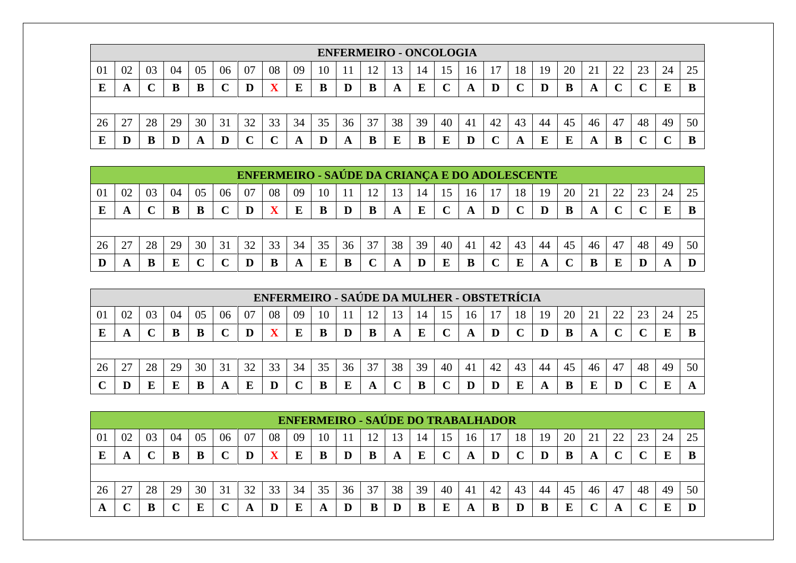|    |                                                                                                          |    |    |    |    |    |    |    |    |    | <b>ENFERMEIRO - ONCOLOGIA</b> |    |    |    |    |    |    |    |        |    |    |    |    |    |
|----|----------------------------------------------------------------------------------------------------------|----|----|----|----|----|----|----|----|----|-------------------------------|----|----|----|----|----|----|----|--------|----|----|----|----|----|
| 01 | 08<br>02<br>07<br>20<br>05<br>06<br>09<br>18<br>23<br>03<br>10<br>22<br>24<br>04<br>19<br>16<br>14<br>13 |    |    |    |    |    |    |    |    |    |                               |    |    |    |    | 25 |    |    |        |    |    |    |    |    |
|    | A                                                                                                        |    |    |    |    |    | v  | E  |    |    | B                             | A  | E  |    | A  |    |    |    | В      |    |    |    | E  |    |
|    |                                                                                                          |    |    |    |    |    |    |    |    |    |                               |    |    |    |    |    |    |    |        |    |    |    |    |    |
| 26 | 27                                                                                                       | 28 | 29 | 30 | 31 | 32 | 33 | 34 | 35 | 36 | 37                            | 38 | 39 | 40 | 41 | 42 | 43 | 44 | 45     | 46 | 47 | 48 | 49 | 50 |
|    |                                                                                                          |    |    | A  |    |    |    |    |    | A  | B                             |    | B  |    |    |    |    | ы  | г<br>L |    |    |    |    |    |

|    |                                                                                                         |    |    |    |    |    | ENFERMEIRO - SAÚDE DA CRIANÇA E DO ADOLESCENTE |    |    |    |    |    |    |    |    |    |    |    |    |    |    |    |    |    |
|----|---------------------------------------------------------------------------------------------------------|----|----|----|----|----|------------------------------------------------|----|----|----|----|----|----|----|----|----|----|----|----|----|----|----|----|----|
| 01 | 08<br>20<br>22<br>02<br>07<br>24<br>04<br>05<br>06<br>09<br>18<br>03<br>10<br>12<br>3<br>19<br>14<br>16 |    |    |    |    |    |                                                |    |    |    |    |    |    |    |    |    |    |    |    |    |    |    |    |    |
| Е  | A                                                                                                       |    | B  | B  |    |    |                                                |    |    |    |    | A  | E  |    | A  |    |    |    |    |    |    |    |    |    |
|    |                                                                                                         |    |    |    |    |    |                                                |    |    |    |    |    |    |    |    |    |    |    |    |    |    |    |    |    |
|    |                                                                                                         |    |    |    |    |    |                                                |    |    |    |    |    |    |    |    |    |    |    |    |    |    |    |    |    |
| 26 | 27                                                                                                      | 28 | 29 | 30 | 31 | 32 | 33                                             | 34 | 35 | 36 | 37 | 38 | 39 | 40 | 41 | 42 | 43 | 44 | 45 | 46 | 47 | 48 | 49 | 50 |

|    |                                                                                                                      |    |    |    |                   |    |    |    |    |    |    |              |    |    |    | ENFERMEIRO - SAÚDE DA MULHER - OBSTETRÍCIA |    |    |    |    |    |    |    |    |
|----|----------------------------------------------------------------------------------------------------------------------|----|----|----|-------------------|----|----|----|----|----|----|--------------|----|----|----|--------------------------------------------|----|----|----|----|----|----|----|----|
| 01 | 02<br>08<br>20<br>04<br>06<br>22<br>09<br>23<br>24<br>03<br>05<br>07<br>10<br>13<br>18<br>19<br>12<br>14<br>15<br>16 |    |    |    |                   |    |    |    |    |    |    |              |    |    |    | 25                                         |    |    |    |    |    |    |    |    |
| E  |                                                                                                                      |    |    |    | $\mathbf{C}$<br>ັ |    | v  |    | B  |    |    | $\mathbf{A}$ | E  |    | A  |                                            |    |    |    |    |    |    | E  |    |
|    |                                                                                                                      |    |    |    |                   |    |    |    |    |    |    |              |    |    |    |                                            |    |    |    |    |    |    |    |    |
| 26 |                                                                                                                      | 28 | 29 | 30 | 31                | 32 | 33 | 34 | 35 | 36 | 37 | 38           | 39 | 40 | 41 | 42                                         | 43 | 44 | 45 | 46 | 47 | 48 | 49 | 50 |
|    |                                                                                                                      |    | E  |    | A                 |    | D  |    |    |    | A  |              | B  |    |    |                                            | E  |    |    |    |    |    |    |    |

|    |                                                                                                              |    |    |    |    |    |    | <b>ENFERMEIRO - SAÚDE DO TRABALHADOR</b> |    |    |    |    |    |    |     |    |    |    |    |    |    |    |    |    |
|----|--------------------------------------------------------------------------------------------------------------|----|----|----|----|----|----|------------------------------------------|----|----|----|----|----|----|-----|----|----|----|----|----|----|----|----|----|
| 01 | 25<br>08<br>02<br>04<br>05<br>07<br>09<br>20<br>24<br>06<br>18<br>03<br>ി<br>10<br>3<br>19<br>14<br>16<br>∠∠ |    |    |    |    |    |    |                                          |    |    |    |    |    |    |     |    |    |    |    |    |    |    |    |    |
| L  | A                                                                                                            |    | B  |    |    |    |    |                                          | B  |    | B  | A  | E  |    | A   | D  |    |    | В  | A  |    |    | E  |    |
|    |                                                                                                              |    |    |    |    |    |    |                                          |    |    |    |    |    |    |     |    |    |    |    |    |    |    |    |    |
| 26 | $\mathcal{L}$                                                                                                | 28 | 29 | 30 | 31 | 32 | 33 | 34                                       | 35 | 36 | 37 | 38 | 39 | 40 | -41 | 42 | 43 | 44 | 45 | 46 | 47 | 48 | 49 | 50 |
|    |                                                                                                              |    |    |    |    |    | D  |                                          | A  |    | В  |    | В  |    | A   |    |    |    | E  |    |    |    | Е  |    |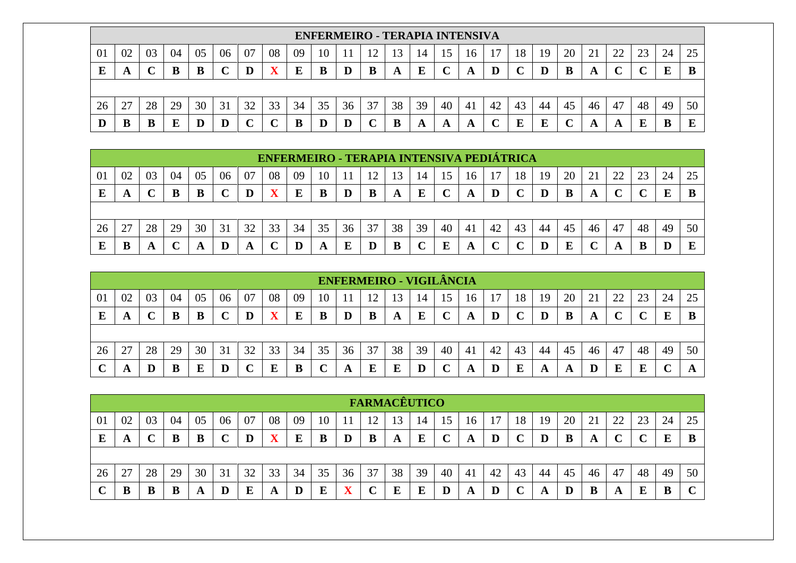|    |                                                                                                                            |    |    |    |              |    |                         |    |    |    | <b>ENFERMEIRO - TERAPIA INTENSIVA</b> |    |    |    |    |    |    |    |    |    |    |     |    |    |
|----|----------------------------------------------------------------------------------------------------------------------------|----|----|----|--------------|----|-------------------------|----|----|----|---------------------------------------|----|----|----|----|----|----|----|----|----|----|-----|----|----|
| 01 | 08<br>20<br>03<br>22<br>05<br>09<br>23<br>02<br>04<br>18<br>07<br>19<br>25<br>10<br>13<br>21<br>24<br>06<br>14<br>L5<br>16 |    |    |    |              |    |                         |    |    |    |                                       |    |    |    |    |    |    |    |    |    |    |     |    |    |
| E  | Ð                                                                                                                          |    |    | B  |              | D  | $\overline{\mathbf{x}}$ | E  |    |    | B                                     | A  | E  |    | A  |    |    |    | B  |    |    |     |    | B  |
|    |                                                                                                                            |    |    |    |              |    |                         |    |    |    |                                       |    |    |    |    |    |    |    |    |    |    |     |    |    |
| 26 | $\cap$<br>$\overline{\phantom{a}}$                                                                                         | 28 | 29 | 30 | 31           | 32 | 33                      | 34 | 35 | 36 | 37                                    | 38 | 39 | 40 | 41 | 42 | 43 | 44 | 45 | 46 | 47 | 48  | 49 | 50 |
| D  | B                                                                                                                          |    |    |    | $\bf \Gamma$ |    |                         |    | D  |    |                                       | B  | A  |    | A  |    | E  |    |    |    | A  | . . | ш  |    |

|    |    |    |    |    |    |    |    |    |    |    |    |    |    |    |     | ENFERMEIRO - TERAPIA INTENSIVA PEDIÁTRICA |             |    |    |    |    |    |    |    |
|----|----|----|----|----|----|----|----|----|----|----|----|----|----|----|-----|-------------------------------------------|-------------|----|----|----|----|----|----|----|
| 01 | 02 | 03 | 04 | 05 | 06 | 07 | 08 | 09 | 10 |    | ാ  | 3  | 14 | 15 | 16  |                                           | 18          | 19 | 20 |    | 22 |    | 24 |    |
| Е  | A  |    | B  | B  |    |    |    | Е  |    | D  | B  | A  | E  |    | A   |                                           | $\mathbf C$ |    | В  | A  |    |    |    |    |
|    |    |    |    |    |    |    |    |    |    |    |    |    |    |    |     |                                           |             |    |    |    |    |    |    |    |
| 26 | 27 | 28 | 29 | 30 | 31 | 32 | 33 | 34 | 35 | 36 | 37 | 38 | 39 | 40 | -41 | 42                                        | 43          | 44 | 45 | 46 | 47 | 48 | 49 | 50 |
|    | B  | A  |    |    |    |    |    |    | A  | E  |    |    |    | E  | A   |                                           |             |    | E  |    | A  |    |    |    |

|    |    |    |    |    |    |    |             |    |        |    | <b>ENFERMEIRO - VIGILÂNCIA</b> |    |    |    |    |    |             |    |    |    |            |    |    |    |
|----|----|----|----|----|----|----|-------------|----|--------|----|--------------------------------|----|----|----|----|----|-------------|----|----|----|------------|----|----|----|
| 01 | 02 | 03 | 04 | 05 | 06 | 07 | 08          | 09 | 10     |    |                                | 13 | 14 | 15 | 16 |    | 18          | 19 | 20 | 21 | 22         |    | 24 |    |
| E  | A  |    |    |    |    | D  | $\mathbf X$ | E  | B      |    | B                              | A  | E  |    | A  | D  | $\mathbf C$ |    | B  | A  | $\sqrt{ }$ |    | E  |    |
|    |    |    |    |    |    |    |             |    |        |    |                                |    |    |    |    |    |             |    |    |    |            |    |    |    |
| 26 | 27 | 28 | 29 | 30 | 31 | 32 | 33          | 34 | 35     | 36 | 37                             | 38 | 39 | 40 | 41 | 42 | 43          | 44 | 45 | 46 | 47         | 48 | 49 | 50 |
|    |    |    |    |    | D  |    | E           | B  | $\sim$ |    | E                              | E  |    |    | A  |    | E           | A  | A  |    | E          | Б  |    |    |

|    |    |    |    |    |    |         |    |    |    |    | <b>FARMACÊUTICO</b> |    |    |    |    |    |    |    |    |    |        |    |    |    |
|----|----|----|----|----|----|---------|----|----|----|----|---------------------|----|----|----|----|----|----|----|----|----|--------|----|----|----|
| 01 | 02 | 03 | 04 | 05 | 06 | 07      | 08 | 09 | 10 |    |                     | 15 | 14 | 15 | 16 |    | 18 | 19 | 20 | 21 | 22     |    | 24 | 25 |
| E  | A  |    |    |    |    | $\bf D$ | X  | E  | B  |    | B                   | A  | E  |    | A  | D  |    |    | B  | A  | $\sim$ |    | E  |    |
|    |    |    |    |    |    |         |    |    |    |    |                     |    |    |    |    |    |    |    |    |    |        |    |    |    |
| 26 | 27 | 28 | 29 | 30 | 31 | 32      | 33 | 34 | 35 | 36 | 37                  | 38 | 39 | 40 | 41 | 42 | 43 | 44 | 45 | 46 | 47     | 48 | 49 | 50 |
|    | B  |    | в  | A  | D  |         | A  |    | E  |    | $\curvearrowright$  | E  | E  |    | A  |    |    | A  |    | D  | A      | т  | B  |    |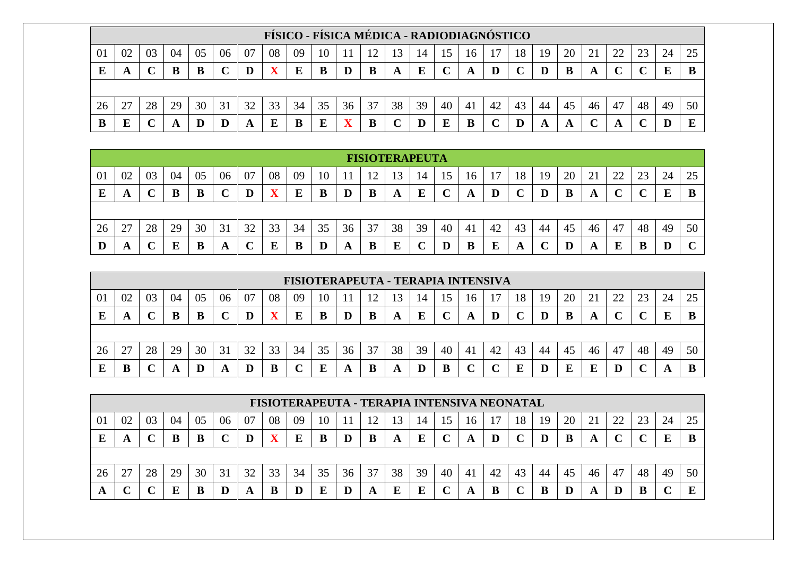|    |    |    |    |    |    |    |    | FÍSICO - FÍSICA MÉDICA - RADIODIAGNÓSTICO |    |    |    |    |    |    |    |    |                             |    |    |    |        |    |    |    |
|----|----|----|----|----|----|----|----|-------------------------------------------|----|----|----|----|----|----|----|----|-----------------------------|----|----|----|--------|----|----|----|
| 01 | 02 | 03 | 04 | 05 | 06 | 07 | 08 | 09                                        | 10 |    |    |    | 14 | 15 | 16 |    | 18                          | 19 | 20 | 21 | 22     |    | 24 | 25 |
| E  |    |    | B  |    |    |    |    | E                                         | B  |    |    | A  | E  |    | A  | D  | $\mathcal{C}_{\mathcal{C}}$ |    | B  |    | $\sim$ |    | E  |    |
|    |    |    |    |    |    |    |    |                                           |    |    |    |    |    |    |    |    |                             |    |    |    |        |    |    |    |
| 26 |    | 28 | 29 | 30 | 31 | 32 | 33 | 34                                        | 35 | 36 | 37 | 38 | 39 | 40 | 41 | 42 | 43                          | 44 | 45 | 46 | 47     | 48 | 49 | 50 |
| В  | ю  |    |    |    |    |    |    | В                                         | E  |    |    |    | D  |    |    |    |                             |    | A  |    |        |    |    |    |

|    |    |    |    |    |    |    |    |    |    |    |    | <b>FISIOTERAPEUTA</b> |    |    |    |    |    |    |    |    |    |    |    |             |
|----|----|----|----|----|----|----|----|----|----|----|----|-----------------------|----|----|----|----|----|----|----|----|----|----|----|-------------|
| 01 | 02 | 03 | 04 | 05 | 06 | 07 | 08 | 09 | 10 |    | 12 | 13                    | 14 | 15 | 16 |    | 18 | 19 | 20 | 21 | 22 | 23 | 24 | 25          |
| E  | A  |    | B  | В  | ັ  |    | v  |    | B  |    | B  | A                     | E  |    | A  |    |    |    |    | A  |    |    | E  |             |
|    |    |    |    |    |    |    |    |    |    |    |    |                       |    |    |    |    |    |    |    |    |    |    |    |             |
| 26 | 27 | 28 | 29 | 30 | 31 | 32 | 33 | 34 | 35 | 36 | 37 | 38                    | 39 | 40 | 41 | 42 | 43 | 44 | 45 | 46 | 47 | 48 | 49 | 50          |
| D  | A  |    | E  | B  | A  |    | E  |    | IJ | A  | B  |                       |    |    | B  | E  | A  |    |    | A  | E  | В  | D  | $\mathbf C$ |

|    |        |    |    |    |    |    |    | FISIOTERAPEUTA - TERAPIA INTENSIVA |    |    |    |    |    |    |    |    |    |    |    |               |    |              |    |    |
|----|--------|----|----|----|----|----|----|------------------------------------|----|----|----|----|----|----|----|----|----|----|----|---------------|----|--------------|----|----|
| 01 | 02     | 03 | 04 | 05 | 06 | 07 | 08 | 09                                 | 10 |    | ി  | 3  | 14 | 15 | 16 |    | 18 | 19 | 20 | $\mathcal{L}$ |    | $\cap$<br>23 | 24 | 25 |
|    |        |    | B  |    |    |    |    |                                    | B  |    | в  |    | E  |    | A  |    |    |    | В  | A             |    |              | E  |    |
|    |        |    |    |    |    |    |    |                                    |    |    |    |    |    |    |    |    |    |    |    |               |    |              |    |    |
| 26 | $\cap$ | 28 | 29 | 30 | 31 | 32 | 33 | 34                                 | 35 | 36 | 37 | 38 | 39 | 40 | 41 | 42 | 43 | 44 | 45 | 46            | 47 | 48           | 49 | 50 |
|    |        |    |    |    | A  |    |    |                                    |    |    | в  |    |    | B  |    |    |    |    | E  | E             |    |              | Ð  |    |

|    |        |    |    |    |    |    |             |    |    |    |    |    |    |    |    | FISIOTERAPEUTA - TERAPIA INTENSIVA NEONATAL |    |    |    |    |    |    |    |    |
|----|--------|----|----|----|----|----|-------------|----|----|----|----|----|----|----|----|---------------------------------------------|----|----|----|----|----|----|----|----|
| 01 | 02     | 03 | 04 | 05 | 06 | 07 | 08          | 09 | 10 |    | 12 | 13 | 14 | 15 | 16 |                                             | 18 | 19 | 20 |    | 22 | 23 | 24 |    |
|    | A      |    |    |    |    | D  | $\mathbf X$ |    | B  |    | B  |    | E  |    | A  |                                             |    |    |    | A  |    |    | E  |    |
|    |        |    |    |    |    |    |             |    |    |    |    |    |    |    |    |                                             |    |    |    |    |    |    |    |    |
| 26 |        | 28 | 29 | 30 | 31 | 32 | 33          | 34 | 35 | 36 | 37 | 38 | 39 | 40 | 41 | 42                                          | 43 | 44 | 45 | 46 | 47 | 48 | 49 | 50 |
| A  | $\sim$ |    |    |    | D  | A  | B           |    | E  |    | A  | F  | E  |    |    |                                             |    |    |    |    |    | B  |    | E  |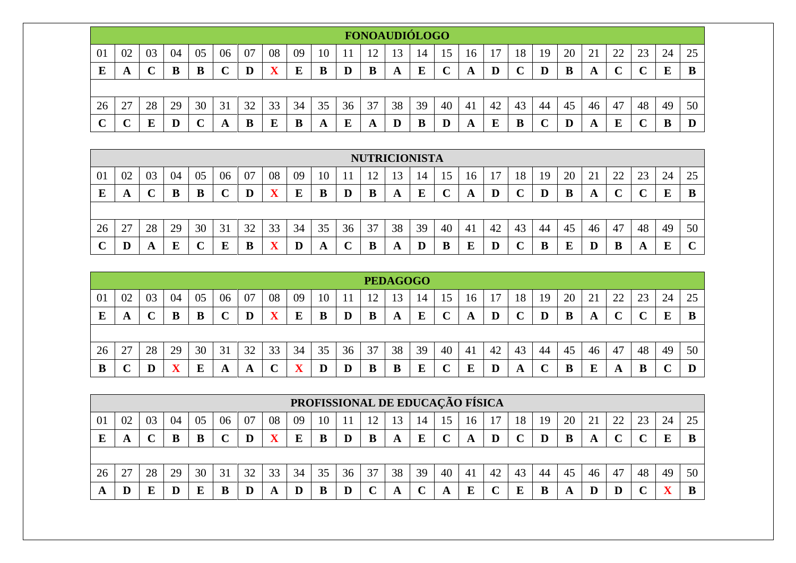|        |        |    |    |    |    |    |    |    |    |    |     | <b>FONOAUDIÓLOGO</b> |          |    |    |    |             |    |    |    |    |    |    |    |
|--------|--------|----|----|----|----|----|----|----|----|----|-----|----------------------|----------|----|----|----|-------------|----|----|----|----|----|----|----|
| 01     | 02     | 03 | 04 | 05 | 06 | 07 | 08 | 09 | 10 |    | 1 ೧ | 3                    | 14       | 15 | 16 |    | 18          | 19 | 20 | 21 | 22 | 23 | 24 | 25 |
| E      | A      |    |    |    |    |    |    | E  | B  |    | B   | A                    | $\bf{E}$ |    | A  |    | $\mathbf C$ |    | B  |    |    |    | E  |    |
|        |        |    |    |    |    |    |    |    |    |    |     |                      |          |    |    |    |             |    |    |    |    |    |    |    |
| 26     | 27     | 28 | 29 | 30 | 31 | 32 | 33 | 34 | 35 | 36 | 37  | 38                   | 39       | 40 | 41 | 42 | 43          | 44 | 45 | 46 | 47 | 48 | 49 | 50 |
| $\sim$ | $\sim$ |    | D  |    | A  | B  | E  | В  | A  | Е  | A   |                      | B        |    | A  | E  | B           |    | D  | A  | E  |    | В  | D  |

|    |    |    |    |    |    |    |    |    |    |    | <b>NUTRICIONISTA</b> |    |         |    |    |     |    |    |    |                |    |    |    |        |
|----|----|----|----|----|----|----|----|----|----|----|----------------------|----|---------|----|----|-----|----|----|----|----------------|----|----|----|--------|
| 01 | 02 | 03 | 04 | 05 | 06 | 07 | 08 | 09 | 10 |    | ി                    | 3  | 14      |    | 16 |     | 18 | 19 | 20 | $\overline{2}$ | 22 | 23 | 24 | 25     |
| E  | A  |    | В  | В  |    |    | w  |    | D  |    | B                    | A  | E       |    | A  |     |    |    |    | A              |    |    | Е  | B      |
|    |    |    |    |    |    |    |    |    |    |    |                      |    |         |    |    |     |    |    |    |                |    |    |    |        |
| 26 | 27 | 28 | 29 | 30 | 31 | 32 | 33 | 34 | 35 | 36 | 37                   | 38 | 39      | 40 | 41 | -42 | 43 | 44 | 45 | 46             | 47 | 48 | 49 | 50     |
|    | D  | A  | E  |    | E  | Đ  | πz |    | A  |    |                      | A  | $\bf D$ |    | E  |     |    |    | E  |                | В  | A  | E  | $\sim$ |

|    |    |    |    |    |    |    |    |    |    |    |    | <b>PEDAGOGO</b> |    |                 |    |    |    |    |    |    |        |    |    |    |
|----|----|----|----|----|----|----|----|----|----|----|----|-----------------|----|-----------------|----|----|----|----|----|----|--------|----|----|----|
| 01 | 02 | 03 | 04 | 05 | 06 | 07 | 08 | 09 | 10 |    |    | 15              | 14 | 15 <sub>1</sub> | 16 |    | 18 | 19 | 20 | 21 | 22     |    | 24 | 25 |
| E  | A  |    |    |    |    |    | v  | E  | B  |    | B  | A               | E  |                 | A  | D  |    |    | B  | A  | $\sim$ |    | ю  |    |
|    |    |    |    |    |    |    |    |    |    |    |    |                 |    |                 |    |    |    |    |    |    |        |    |    |    |
| 26 | 27 | 28 | 29 | 30 | 31 | 32 | 33 | 34 | 35 | 36 | 37 | 38              | 39 | 40              | 41 | 42 | 43 | 44 | 45 | 46 | 47     | 48 | 49 | 50 |
| D  |    |    |    |    | A  | A  |    |    |    |    | B  | В               | E  |                 | E  |    | A  |    | B  |    | A      | ш  |    | D  |

|    |    |    |    |    |    |    |             | PROFISSIONAL DE EDUCAÇÃO FÍSICA |    |    |    |    |    |    |     |    |    |    |    |    |    |    |    |    |
|----|----|----|----|----|----|----|-------------|---------------------------------|----|----|----|----|----|----|-----|----|----|----|----|----|----|----|----|----|
| 01 | 02 | 03 | 04 | 05 | 06 | 07 | 08          | 09                              | 10 |    | ി  | 13 | 14 |    | -16 |    | 18 | 19 | 20 |    | 22 | 23 | 24 | 25 |
|    | A  |    |    |    |    |    | $\mathbf X$ |                                 |    |    |    | A  | E  |    |     |    |    |    |    |    |    |    | E  |    |
|    |    |    |    |    |    |    |             |                                 |    |    |    |    |    |    |     |    |    |    |    |    |    |    |    |    |
| 26 | דר | 28 | 29 | 30 | 31 | 32 | 33          | 34                              | 35 | 36 | 37 | 38 | 39 | 40 | 41  | 42 | 43 | 44 | 45 | 46 | 47 | 48 | 49 | 50 |
|    |    |    |    |    | D  |    | A           |                                 |    |    |    |    |    |    | E   |    |    |    | A  |    |    |    |    |    |